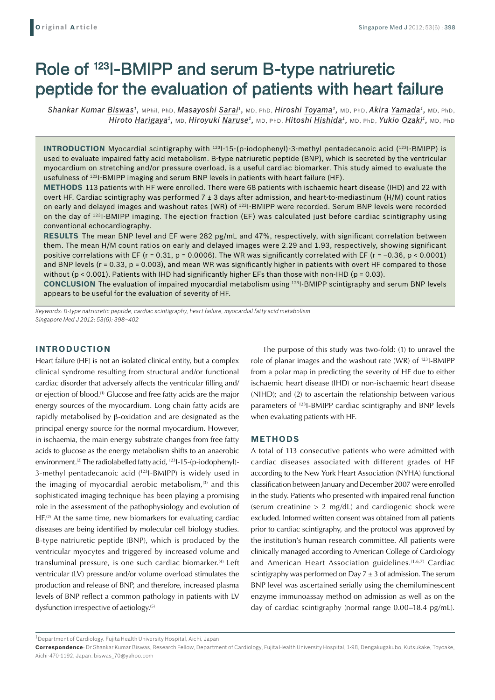# Role of 123I-BMIPP and serum B-type natriuretic peptide for the evaluation of patients with heart failure

*Shankar Kumar Biswas1,* MPhil, PhD, *Masayoshi Sarai1,* MD, PhD, *Hiroshi Toyama1,* MD, PhD, *Akira Yamada1,* MD, PhD, *Hiroto Harigaya1,* MD, *Hiroyuki Naruse1,* MD, PhD, *Hitoshi Hishida1,* MD, PhD, *Yukio Ozaki1,* MD, PhD

**INTRODUCTION** Myocardial scintigraphy with <sup>123</sup>I-15-(p-iodophenyl)-3-methyl pentadecanoic acid (<sup>123</sup>I-BMIPP) is used to evaluate impaired fatty acid metabolism. B-type natriuretic peptide (BNP), which is secreted by the ventricular myocardium on stretching and/or pressure overload, is a useful cardiac biomarker. This study aimed to evaluate the usefulness of 123I-BMIPP imaging and serum BNP levels in patients with heart failure (HF).

**Methods** 113 patients with HF were enrolled. There were 68 patients with ischaemic heart disease (IHD) and 22 with overt HF. Cardiac scintigraphy was performed 7 ± 3 days after admission, and heart-to-mediastinum (H/M) count ratios on early and delayed images and washout rates (WR) of 123I-BMIPP were recorded. Serum BNP levels were recorded on the day of 123I-BMIPP imaging. The ejection fraction (EF) was calculated just before cardiac scintigraphy using conventional echocardiography.

**Results** The mean BNP level and EF were 282 pg/mL and 47%, respectively, with significant correlation between them. The mean H/M count ratios on early and delayed images were 2.29 and 1.93, respectively, showing significant positive correlations with EF (r = 0.31, p = 0.0006). The WR was significantly correlated with EF (r = −0.36, p < 0.0001) and BNP levels ( $r = 0.33$ ,  $p = 0.003$ ), and mean WR was significantly higher in patients with overt HF compared to those without (p < 0.001). Patients with IHD had significantly higher EFs than those with non-IHD (p = 0.03).

**Conclusion** The evaluation of impaired myocardial metabolism using 123I-BMIPP scintigraphy and serum BNP levels appears to be useful for the evaluation of severity of HF.

*Keywords: B-type natriuretic peptide, cardiac scintigraphy, heart failure, myocardial fatty acid metabolism Singapore Med J 2012; 53(6): 398–402*

# **INTRODUCTION**

Heart failure (HF) is not an isolated clinical entity, but a complex clinical syndrome resulting from structural and/or functional cardiac disorder that adversely affects the ventricular filling and/ or ejection of blood.(1) Glucose and free fatty acids are the major energy sources of the myocardium. Long chain fatty acids are rapidly metabolised by β-oxidation and are designated as the principal energy source for the normal myocardium. However, in ischaemia, the main energy substrate changes from free fatty acids to glucose as the energy metabolism shifts to an anaerobic environment.(2) The radiolabelled fatty acid, 123I-15-(p-iodophenyl)- 3-methyl pentadecanoic acid (123I-BMIPP) is widely used in the imaging of myocardial aerobic metabolism, $(3)$  and this sophisticated imaging technique has been playing a promising role in the assessment of the pathophysiology and evolution of  $HF<sup>(2)</sup>$  At the same time, new biomarkers for evaluating cardiac diseases are being identified by molecular cell biology studies. B-type natriuretic peptide (BNP), which is produced by the ventricular myocytes and triggered by increased volume and transluminal pressure, is one such cardiac biomarker.<sup>(4)</sup> Left ventricular (LV) pressure and/or volume overload stimulates the production and release of BNP, and therefore, increased plasma levels of BNP reflect a common pathology in patients with LV dysfunction irrespective of aetiology.<sup>(5)</sup>

The purpose of this study was two-fold: (1) to unravel the role of planar images and the washout rate (WR) of 123I-BMIPP from a polar map in predicting the severity of HF due to either ischaemic heart disease (IHD) or non-ischaemic heart disease (NIHD); and (2) to ascertain the relationship between various parameters of 123I-BMIPP cardiac scintigraphy and BNP levels when evaluating patients with HF.

#### **METHODS**

A total of 113 consecutive patients who were admitted with cardiac diseases associated with different grades of HF according to the New York Heart Association (NYHA) functional classification between January and December 2007 were enrolled in the study. Patients who presented with impaired renal function (serum creatinine  $> 2$  mg/dL) and cardiogenic shock were excluded. Informed written consent was obtained from all patients prior to cardiac scintigraphy, and the protocol was approved by the institution's human research committee. All patients were clinically managed according to American College of Cardiology and American Heart Association guidelines.(1,6,7) Cardiac scintigraphy was performed on Day  $7 \pm 3$  of admission. The serum BNP level was ascertained serially using the chemiluminescent enzyme immunoassay method on admission as well as on the day of cardiac scintigraphy (normal range 0.00–18.4 pg/mL).

 $1$ Department of Cardiology, Fujita Health University Hospital, Aichi, Japan

**Correspondence**: Dr Shankar Kumar Biswas, Research Fellow, Department of Cardiology, Fujita Health University Hospital, 1-98, Dengakugakubo, Kutsukake, Toyoake, Aichi-470-1192, Japan. biswas\_70@yahoo.com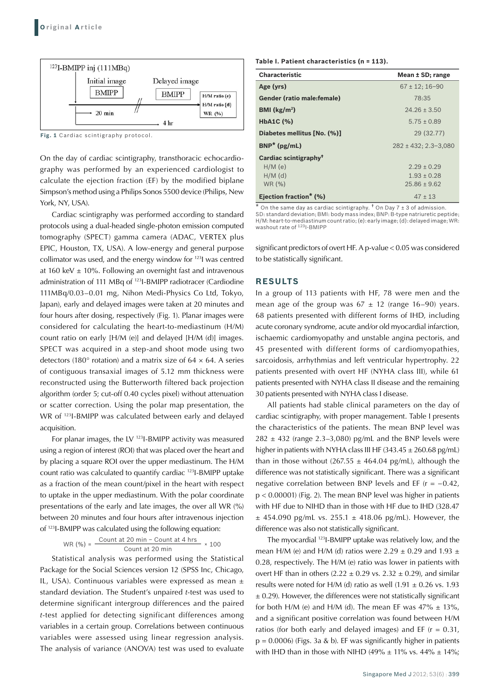

**Fig. 1** Cardiac scintigraphy protocol.

On the day of cardiac scintigraphy, transthoracic echocardiography was performed by an experienced cardiologist to calculate the ejection fraction (EF) by the modified biplane Simpson's method using a Philips Sonos 5500 device (Philips, New York, NY, USA).

Cardiac scintigraphy was performed according to standard protocols using a dual-headed single-photon emission computed tomography (SPECT) gamma camera (ADAC, VERTEX plus EPIC, Houston, TX, USA). A low-energy and general purpose collimator was used, and the energy window for 123I was centred at 160 keV  $\pm$  10%. Following an overnight fast and intravenous administration of 111 MBq of 123I-BMIPP radiotracer (Cardiodine 111MBq/0.03–0.01 mg, Nihon Medi-Physics Co Ltd, Tokyo, Japan), early and delayed images were taken at 20 minutes and four hours after dosing, respectively (Fig. 1). Planar images were considered for calculating the heart-to-mediastinum (H/M) count ratio on early [H/M (e)] and delayed [H/M (d)] images. SPECT was acquired in a step-and shoot mode using two detectors (180 $^{\circ}$  rotation) and a matrix size of 64  $\times$  64. A series of contiguous transaxial images of 5.12 mm thickness were reconstructed using the Butterworth filtered back projection algorithm (order 5; cut-off 0.40 cycles pixel) without attenuation or scatter correction. Using the polar map presentation, the WR of 123I-BMIPP was calculated between early and delayed acquisition.

For planar images, the LV 123I-BMIPP activity was measured using a region of interest (ROI) that was placed over the heart and by placing a square ROI over the upper mediastinum. The H/M count ratio was calculated to quantify cardiac 123I-BMIPP uptake as a fraction of the mean count/pixel in the heart with respect to uptake in the upper mediastinum. With the polar coordinate presentations of the early and late images, the over all WR (%) between 20 minutes and four hours after intravenous injection of 123I-BMIPP was calculated using the following equation:

WR (%) = 
$$
\frac{\text{Count at 20 min} - \text{Count at 4 hrs}}{\text{Count at 20 min}} \times 100
$$

Statistical analysis was performed using the Statistical Package for the Social Sciences version 12 (SPSS Inc, Chicago, IL, USA). Continuous variables were expressed as mean ± standard deviation. The Student's unpaired *t*-test was used to determine significant intergroup differences and the paired *t*-test applied for detecting significant differences among variables in a certain group. Correlations between continuous variables were assessed using linear regression analysis. The analysis of variance (ANOVA) test was used to evaluate **Table I. Patient characteristics (n = 113).** 

| <b>Characteristic</b>             | Mean ± SD; range          |  |
|-----------------------------------|---------------------------|--|
| Age (yrs)                         | $67 \pm 12$ ; 16-90       |  |
| <b>Gender (ratio male:female)</b> | 78:35                     |  |
| BMI $(kg/m2)$                     | $24.26 \pm 3.50$          |  |
| HbA1C (%)                         | $5.75 + 0.89$             |  |
| Diabetes mellitus [No. (%)]       | 29 (32.77)                |  |
| $BNP^*(pg/mL)$                    | $282 \pm 432$ : 2.3-3.080 |  |
| Cardiac scintigraphy <sup>†</sup> |                           |  |
| $H/M$ (e)                         | $2.29 + 0.29$             |  |
| $H/M$ (d)                         | $1.93 \pm 0.28$           |  |
| WR (%)                            | $25.86 \pm 9.62$          |  |
| Ejection fraction* (%)            | $47 + 13$                 |  |

 $\star$  On the same day as cardiac scintigraphy. <sup>†</sup> On Day 7  $\pm$  3 of admission. SD: standard deviation; BMI: body mass index; BNP: B-type natriuretic peptide; H/M: heart-to-mediastinum count ratio; (e): early image; (d): delayed image; WR:<br>washout rate of <sup>123</sup>I-BMIPP

significant predictors of overt HF. A p-value < 0.05 was considered to be statistically significant.

#### **RESULTS**

In a group of 113 patients with HF, 78 were men and the mean age of the group was  $67 \pm 12$  (range 16–90) years. 68 patients presented with different forms of IHD, including acute coronary syndrome, acute and/or old myocardial infarction, ischaemic cardiomyopathy and unstable angina pectoris, and 45 presented with different forms of cardiomyopathies, sarcoidosis, arrhythmias and left ventricular hypertrophy. 22 patients presented with overt HF (NYHA class III), while 61 patients presented with NYHA class II disease and the remaining 30 patients presented with NYHA class I disease.

All patients had stable clinical parameters on the day of cardiac scintigraphy, with proper management. Table I presents the characteristics of the patients. The mean BNP level was  $282 \pm 432$  (range 2.3–3,080) pg/mL and the BNP levels were higher in patients with NYHA class III HF (343.45  $\pm$  260.68 pg/mL) than in those without  $(267.55 \pm 464.04 \text{ pg/mL})$ , although the difference was not statistically significant. There was a significant negative correlation between BNP levels and EF ( $r = -0.42$ , p < 0.00001) (Fig. 2). The mean BNP level was higher in patients with HF due to NIHD than in those with HF due to IHD (328.47  $±$  454.090 pg/mL vs. 255.1  $±$  418.06 pg/mL). However, the difference was also not statistically significant.

The myocardial 123I-BMIPP uptake was relatively low, and the mean H/M (e) and H/M (d) ratios were 2.29  $\pm$  0.29 and 1.93  $\pm$ 0.28, respectively. The H/M (e) ratio was lower in patients with overt HF than in others  $(2.22 \pm 0.29 \text{ vs. } 2.32 \pm 0.29)$ , and similar results were noted for H/M (d) ratio as well (1.91  $\pm$  0.26 vs. 1.93  $\pm$  0.29). However, the differences were not statistically significant for both H/M (e) and H/M (d). The mean EF was  $47\% \pm 13\%$ , and a significant positive correlation was found between H/M ratios (for both early and delayed images) and EF ( $r = 0.31$ ,  $p = 0.0006$ ) (Figs. 3a & b). EF was significantly higher in patients with IHD than in those with NIHD (49%  $\pm$  11% vs. 44%  $\pm$  14%;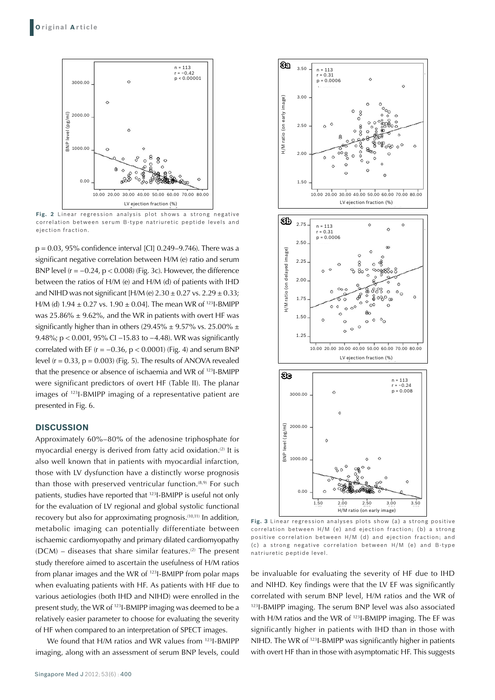

**Fig. 2** Linear regression analysis plot shows a strong negative correlation between serum B-type natriuretic peptide levels and

p = 0.03, 95% confidence interval [CI] 0.249–9.746). There was a significant negative correlation between H/M (e) ratio and serum BNP level  $(r = -0.24, p < 0.008)$  (Fig. 3c). However, the difference between the ratios of H/M (e) and H/M (d) of patients with IHD and NIHD was not significant  $[H/M (e) 2.30 \pm 0.27$  vs.  $2.29 \pm 0.33$ ; H/M (d)  $1.94 \pm 0.27$  vs.  $1.90 \pm 0.04$ . The mean WR of <sup>123</sup>I-BMIPP was  $25.86\% \pm 9.62\%$ , and the WR in patients with overt HF was significantly higher than in others (29.45%  $\pm$  9.57% vs. 25.00%  $\pm$ 9.48%; p < 0.001, 95% CI –15.83 to –4.48). WR was significantly correlated with EF ( $r = -0.36$ ,  $p < 0.0001$ ) (Fig. 4) and serum BNP level  $(r = 0.33, p = 0.003)$  (Fig. 5). The results of ANOVA revealed that the presence or absence of ischaemia and WR of 123I-BMIPP were significant predictors of overt HF (Table II). The planar images of 123I-BMIPP imaging of a representative patient are presented in Fig. 6.

### **DISCUSSION**

Approximately 60%–80% of the adenosine triphosphate for myocardial energy is derived from fatty acid oxidation.<sup>(2)</sup> It is also well known that in patients with myocardial infarction, those with LV dysfunction have a distinctly worse prognosis than those with preserved ventricular function.<sup>(8,9)</sup> For such patients, studies have reported that 123I-BMIPP is useful not only for the evaluation of LV regional and global systolic functional recovery but also for approximating prognosis.<sup>(10,11)</sup> In addition, metabolic imaging can potentially differentiate between ischaemic cardiomyopathy and primary dilated cardiomyopathy  $(DCM)$  – diseases that share similar features.<sup>(2)</sup> The present study therefore aimed to ascertain the usefulness of H/M ratios from planar images and the WR of 123I-BMIPP from polar maps when evaluating patients with HF. As patients with HF due to various aetiologies (both IHD and NIHD) were enrolled in the present study, the WR of 123I-BMIPP imaging was deemed to be a relatively easier parameter to choose for evaluating the severity of HF when compared to an interpretation of SPECT images.

We found that H/M ratios and WR values from 123I-BMIPP imaging, along with an assessment of serum BNP levels, could



**Fig. 3** Linear regression analyses plots show (a) a strong positive correlation between H/M (e) and ejection fraction; (b) a strong positive correlation between H/M (d) and ejection fraction; and (c) a strong negative correlation between H/M (e) and B-type natriuretic peptide level.

be invaluable for evaluating the severity of HF due to IHD and NIHD. Key findings were that the LV EF was significantly correlated with serum BNP level, H/M ratios and the WR of 123I-BMIPP imaging. The serum BNP level was also associated with H/M ratios and the WR of 123I-BMIPP imaging. The EF was significantly higher in patients with IHD than in those with NIHD. The WR of 123I-BMIPP was significantly higher in patients with overt HF than in those with asymptomatic HF. This suggests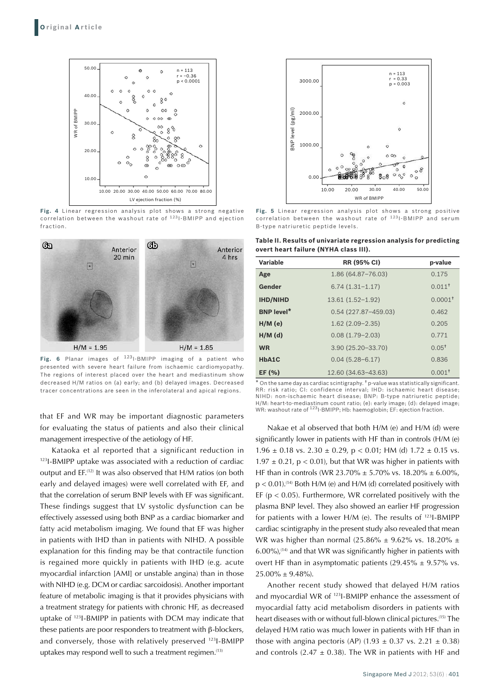

**Fig. 4** Linear regression analysis plot shows a strong negative correlation between the washout rate of <sup>123</sup> I-BMIPP and ejection fraction.



Fig. 6 Planar images of <sup>123</sup>I-BMIPP imaging of a patient who presented with severe heart failure from ischaemic cardiomyopathy. The regions of interest placed over the heart and mediastinum show decreased H/M ratios on (a) early; and (b) delayed images. Decreased tracer concentrations are seen in the inferolateral and apical regions.

that EF and WR may be important diagnostic parameters for evaluating the status of patients and also their clinical management irrespective of the aetiology of HF.

Kataoka et al reported that a significant reduction in 123I-BMIPP uptake was associated with a reduction of cardiac output and EF.(12) It was also observed that H/M ratios (on both early and delayed images) were well correlated with EF, and that the correlation of serum BNP levels with EF was significant. These findings suggest that LV systolic dysfunction can be effectively assessed using both BNP as a cardiac biomarker and fatty acid metabolism imaging. We found that EF was higher in patients with IHD than in patients with NIHD. A possible explanation for this finding may be that contractile function is regained more quickly in patients with IHD (e.g. acute myocardial infarction [AMI] or unstable angina) than in those with NIHD (e.g. DCM or cardiac sarcoidosis). Another important feature of metabolic imaging is that it provides physicians with a treatment strategy for patients with chronic HF, as decreased uptake of 123I-BMIPP in patients with DCM may indicate that these patients are poor responders to treatment with β-blockers, and conversely, those with relatively preserved 123I-BMIPP uptakes may respond well to such a treatment regimen.(13)



**Fig. 5** Linear regression analysis plot shows a strong positive correlation between the washout rate of <sup>123</sup>I-BMIPP and serum B-type natriuretic peptide levels.

**Table II. Results of univariate regression analysis for predicting overt heart failure (NYHA class III).** 

| Variable          | <b>RR (95% CI)</b>      | p-value               |
|-------------------|-------------------------|-----------------------|
| Age               | 1.86 (64.87-76.03)      | 0.175                 |
| Gender            | $6.74(1.31-1.17)$       | $0.011$ <sup>+</sup>  |
| <b>IHD/NIHD</b>   | $13.61(1.52 - 1.92)$    | $0.0001$ <sup>+</sup> |
| <b>BNP level*</b> | $0.54(227.87 - 459.03)$ | 0.462                 |
| $H/M$ (e)         | $1.62(2.09 - 2.35)$     | 0.205                 |
| $H/M$ (d)         | $0.08(1.79 - 2.03)$     | 0.771                 |
| <b>WR</b>         | 3.90 (25.20-33.70)      | $0.05^{\dagger}$      |
| HbA1C             | $0.04(5.28 - 6.17)$     | 0.836                 |
| EF $(% )$         | 12.60 (34.63-43.63)     | $0.001$ <sup>+</sup>  |

 $^{\mathsf{t}}$  On the same day as cardiac scintigraphy.  $^{\mathsf{t}}$  p-value was statistically significant. RR: risk ratio; CI: confidence interval; IHD: ischaemic heart disease; NIHD: non-ischaemic heart disease; BNP: B-type natriuretic peptide; H/M: heart-to-mediastinum count ratio; (e): early image; (d): delayed image;<br>WR: washout rate of <sup>123</sup>I-BMIPP; Hb: haemoglobin; EF: ejection fraction.

Nakae et al observed that both H/M (e) and H/M (d) were significantly lower in patients with HF than in controls (H/M (e) 1.96  $\pm$  0.18 vs. 2.30  $\pm$  0.29, p < 0.01; HM (d) 1.72  $\pm$  0.15 vs. 1.97  $\pm$  0.21, p < 0.01), but that WR was higher in patients with HF than in controls (WR 23.70%  $\pm$  5.70% vs. 18.20%  $\pm$  6.00%,  $p < 0.01$ ).<sup>(14)</sup> Both H/M (e) and H/M (d) correlated positively with EF ( $p < 0.05$ ). Furthermore, WR correlated positively with the plasma BNP level. They also showed an earlier HF progression for patients with a lower H/M (e). The results of 123I-BMIPP cardiac scintigraphy in the present study also revealed that mean WR was higher than normal (25.86%  $\pm$  9.62% vs. 18.20%  $\pm$  $6.00\%$ ),<sup>(14)</sup> and that WR was significantly higher in patients with overt HF than in asymptomatic patients (29.45%  $\pm$  9.57% vs.  $25.00\% \pm 9.48\%$ ).

Another recent study showed that delayed H/M ratios and myocardial WR of 123I-BMIPP enhance the assessment of myocardial fatty acid metabolism disorders in patients with heart diseases with or without full-blown clinical pictures.(15) The delayed H/M ratio was much lower in patients with HF than in those with angina pectoris (AP) (1.93  $\pm$  0.37 vs. 2.21  $\pm$  0.38) and controls (2.47  $\pm$  0.38). The WR in patients with HF and